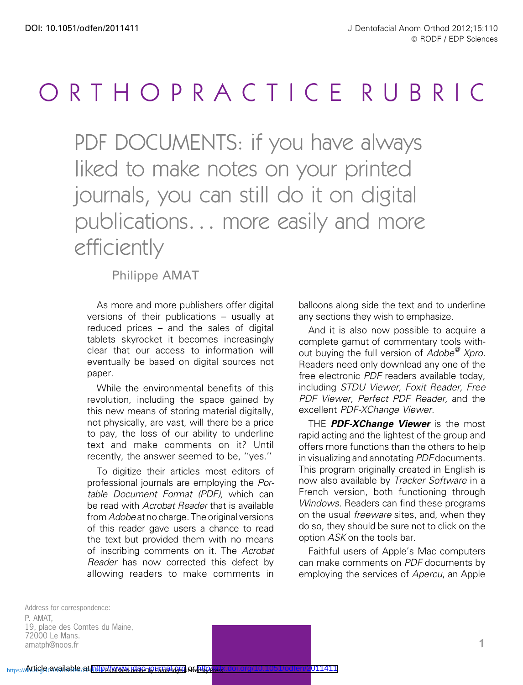## ORTHOPRACTICE RUBRIC

PDF DOCUMENTS: if you have always liked to make notes on your printed journals, you can still do it on digital publications... more easily and more efficiently

Philippe AMAT

As more and more publishers offer digital versions of their publications – usually at reduced prices – and the sales of digital tablets skyrocket it becomes increasingly clear that our access to information will eventually be based on digital sources not paper.

While the environmental benefits of this revolution, including the space gained by this new means of storing material digitally, not physically, are vast, will there be a price to pay, the loss of our ability to underline text and make comments on it? Until recently, the answer seemed to be, ''yes.''

To digitize their articles most editors of professional journals are employing the Portable Document Format (PDF), which can be read with Acrobat Reader that is available from Adobe at no charge. The original versions of this reader gave users a chance to read the text but provided them with no means of inscribing comments on it. The Acrobat Reader has now corrected this defect by allowing readers to make comments in balloons along side the text and to underline any sections they wish to emphasize.

And it is also now possible to acquire a complete gamut of commentary tools without buying the full version of Adobe<sup>@</sup> Xpro. Readers need only download any one of the free electronic PDF readers available today, including STDU Viewer, Foxit Reader, Free PDF Viewer, Perfect PDF Reader, and the excellent PDF-XChange Viewer.

THE PDF-XChange Viewer is the most rapid acting and the lightest of the group and offers more functions than the others to help in visualizing and annotating PDF documents. This program originally created in English is now also available by Tracker Software in a French version, both functioning through Windows. Readers can find these programs on the usual freeware sites, and, when they do so, they should be sure not to click on the option ASK on the tools bar.

Faithful users of Apple's Mac computers can make comments on PDF documents by employing the services of Apercu, an Apple

Address for correspondence: P. AMAT, 19, place des Comtes du Maine, 72000 Le Mans. amatph@noos.fr